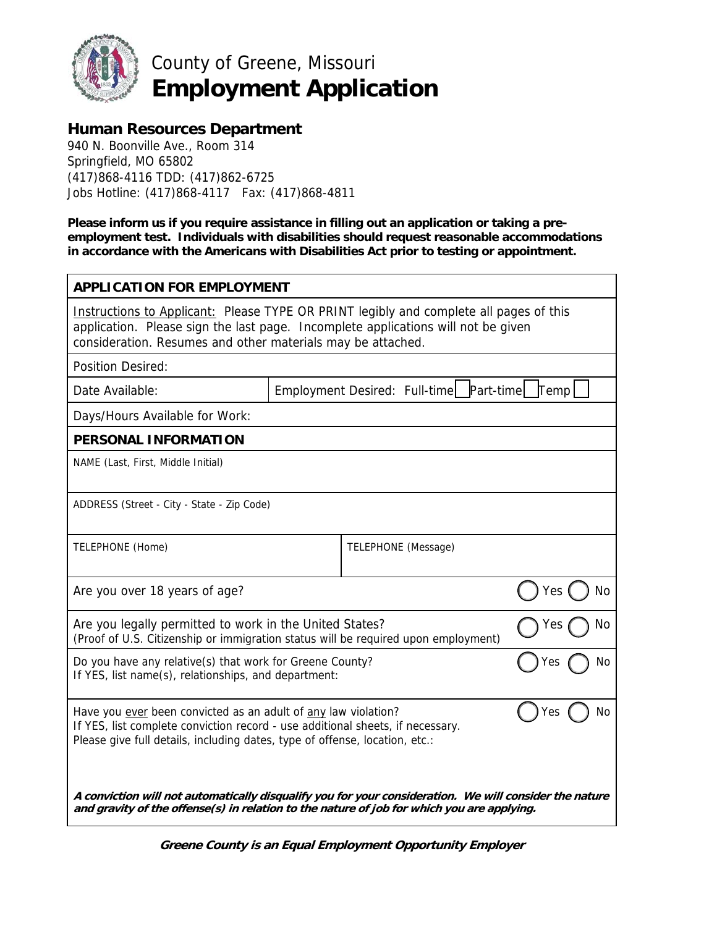

County of Greene, Missouri **Employment Application** 

# **Human Resources Department**

940 N. Boonville Ave., Room 314 Springfield, MO 65802 (417)868-4116 TDD: (417)862-6725 Jobs Hotline: (417)868-4117 Fax: (417)868-4811

**Please inform us if you require assistance in filling out an application or taking a preemployment test. Individuals with disabilities should request reasonable accommodations in accordance with the Americans with Disabilities Act prior to testing or appointment.** 

| <b>APPLICATION FOR EMPLOYMENT</b>                                                                                                                                                                                                            |  |                                              |                  |  |
|----------------------------------------------------------------------------------------------------------------------------------------------------------------------------------------------------------------------------------------------|--|----------------------------------------------|------------------|--|
| Instructions to Applicant: Please TYPE OR PRINT legibly and complete all pages of this<br>application. Please sign the last page. Incomplete applications will not be given<br>consideration. Resumes and other materials may be attached.   |  |                                              |                  |  |
| <b>Position Desired:</b>                                                                                                                                                                                                                     |  |                                              |                  |  |
| Date Available:                                                                                                                                                                                                                              |  | Employment Desired: Full-time Part-time Temp |                  |  |
| Days/Hours Available for Work:                                                                                                                                                                                                               |  |                                              |                  |  |
| PERSONAL INFORMATION                                                                                                                                                                                                                         |  |                                              |                  |  |
| NAME (Last, First, Middle Initial)                                                                                                                                                                                                           |  |                                              |                  |  |
| ADDRESS (Street - City - State - Zip Code)                                                                                                                                                                                                   |  |                                              |                  |  |
| TELEPHONE (Home)                                                                                                                                                                                                                             |  | TELEPHONE (Message)                          |                  |  |
| Are you over 18 years of age?                                                                                                                                                                                                                |  |                                              | <b>No</b><br>Yes |  |
| Are you legally permitted to work in the United States?<br>Yes<br>(Proof of U.S. Citizenship or immigration status will be required upon employment)                                                                                         |  |                                              | No               |  |
| Do you have any relative(s) that work for Greene County?<br>res<br>If YES, list name(s), relationships, and department:                                                                                                                      |  |                                              | No               |  |
| Have you ever been convicted as an adult of any law violation?<br>No<br>Yes<br>If YES, list complete conviction record - use additional sheets, if necessary.<br>Please give full details, including dates, type of offense, location, etc.: |  |                                              |                  |  |
| A conviction will not automatically disqualify you for your consideration. We will consider the nature<br>and gravity of the offense(s) in relation to the nature of job for which you are applying.                                         |  |                                              |                  |  |

 **Greene County is an Equal Employment Opportunity Employer**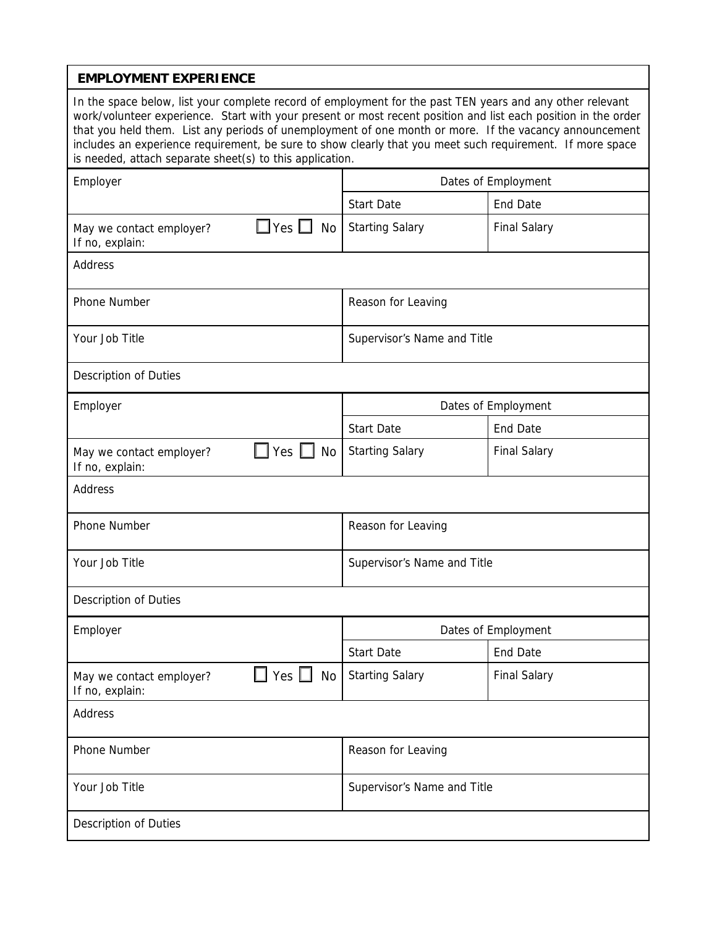#### **EMPLOYMENT EXPERIENCE**

In the space below, list your complete record of employment for the past TEN years and any other relevant work/volunteer experience. Start with your present or most recent position and list each position in the order that you held them. List any periods of unemployment of one month or more. If the vacancy announcement includes an experience requirement, be sure to show clearly that you meet such requirement. If more space is needed, attach separate sheet(s) to this application.

| Employer                                    |                      | Dates of Employment         |                     |
|---------------------------------------------|----------------------|-----------------------------|---------------------|
|                                             |                      | <b>Start Date</b>           | <b>End Date</b>     |
| May we contact employer?<br>If no, explain: | $\Box$ Yes $\Box$ No | <b>Starting Salary</b>      | <b>Final Salary</b> |
| Address                                     |                      |                             |                     |
| Phone Number                                |                      | Reason for Leaving          |                     |
| Your Job Title                              |                      | Supervisor's Name and Title |                     |
| Description of Duties                       |                      |                             |                     |
| Employer                                    |                      | Dates of Employment         |                     |
|                                             |                      | <b>Start Date</b>           | <b>End Date</b>     |
| May we contact employer?<br>If no, explain: | Yes<br>No            | <b>Starting Salary</b>      | <b>Final Salary</b> |
| Address                                     |                      |                             |                     |
| Phone Number                                |                      | Reason for Leaving          |                     |
| Your Job Title                              |                      | Supervisor's Name and Title |                     |
| Description of Duties                       |                      |                             |                     |
| Employer                                    |                      | Dates of Employment         |                     |
|                                             |                      | <b>Start Date</b>           | <b>End Date</b>     |
| May we contact employer?<br>If no, explain: | Yes $\lfloor$<br>No  | <b>Starting Salary</b>      | <b>Final Salary</b> |
| Address                                     |                      |                             |                     |
| Phone Number                                |                      | Reason for Leaving          |                     |
| Your Job Title                              |                      | Supervisor's Name and Title |                     |
| Description of Duties                       |                      |                             |                     |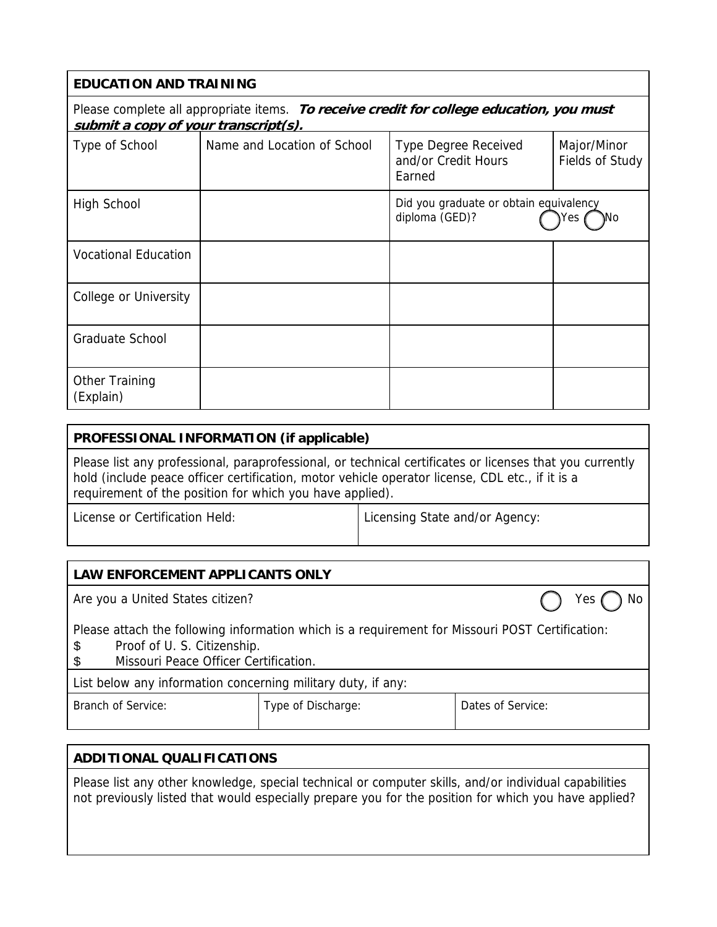| <b>EDUCATION AND TRAINING</b>                                                                                                    |                             |                                                              |                                |
|----------------------------------------------------------------------------------------------------------------------------------|-----------------------------|--------------------------------------------------------------|--------------------------------|
| Please complete all appropriate items. To receive credit for college education, you must<br>submit a copy of your transcript(s). |                             |                                                              |                                |
| Type of School                                                                                                                   | Name and Location of School | <b>Type Degree Received</b><br>and/or Credit Hours<br>Earned | Major/Minor<br>Fields of Study |
| <b>High School</b>                                                                                                               |                             | Did you graduate or obtain equivalency<br>diploma (GED)?     | Μo<br>Yes                      |
| <b>Vocational Education</b>                                                                                                      |                             |                                                              |                                |
| <b>College or University</b>                                                                                                     |                             |                                                              |                                |
| Graduate School                                                                                                                  |                             |                                                              |                                |
| Other Training<br>(Explain)                                                                                                      |                             |                                                              |                                |

### **PROFESSIONAL INFORMATION (if applicable)**

Please list any professional, paraprofessional, or technical certificates or licenses that you currently hold (include peace officer certification, motor vehicle operator license, CDL etc., if it is a requirement of the position for which you have applied).

License or Certification Held: <br>  $\vert$  Licensing State and/or Agency:

| LAW ENFORCEMENT APPLICANTS ONLY                                                                                                                                                     |                    |                   |  |
|-------------------------------------------------------------------------------------------------------------------------------------------------------------------------------------|--------------------|-------------------|--|
| Are you a United States citizen?                                                                                                                                                    |                    | Yes               |  |
| Please attach the following information which is a requirement for Missouri POST Certification:<br>Proof of U. S. Citizenship.<br>\$<br>Missouri Peace Officer Certification.<br>\$ |                    |                   |  |
| List below any information concerning military duty, if any:                                                                                                                        |                    |                   |  |
| Branch of Service:                                                                                                                                                                  | Type of Discharge: | Dates of Service: |  |

### **ADDITIONAL QUALIFICATIONS**

Please list any other knowledge, special technical or computer skills, and/or individual capabilities not previously listed that would especially prepare you for the position for which you have applied?